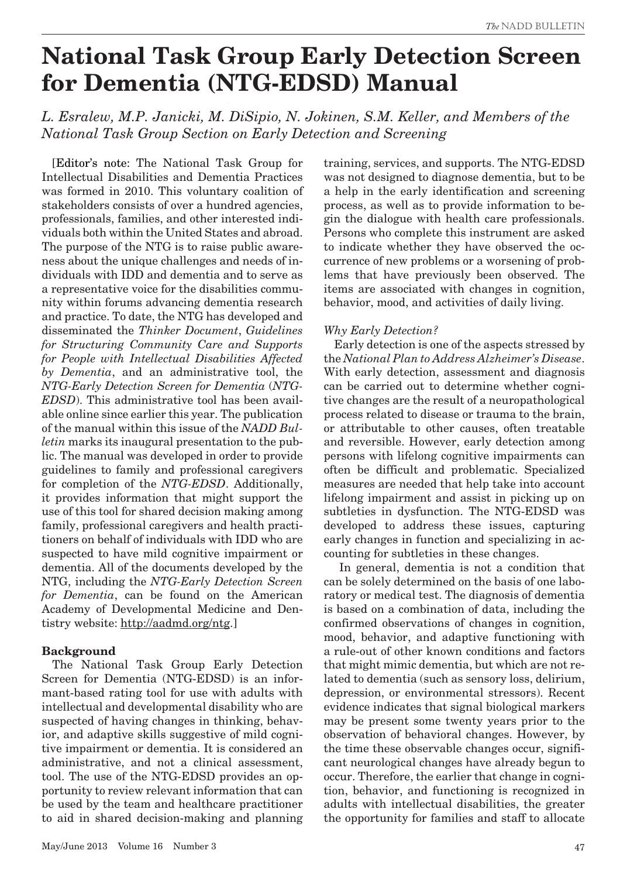# **National Task Group Early Detection Screen for Dementia (NTG-EDSD) Manual**

*L. Esralew, M.P. Janicki, M. DiSipio, N. Jokinen, S.M. Keller, and Members of the National Task Group Section on Early Detection and Screening*

[Editor's note: The National Task Group for Intellectual Disabilities and Dementia Practices was formed in 2010. This voluntary coalition of stakeholders consists of over a hundred agencies, professionals, families, and other interested individuals both within the United States and abroad. The purpose of the NTG is to raise public awareness about the unique challenges and needs of individuals with IDD and dementia and to serve as a representative voice for the disabilities community within forums advancing dementia research and practice. To date, the NTG has developed and disseminated the *Thinker Document*, *Guidelines for Structuring Community Care and Supports for People with Intellectual Disabilities Affected by Dementia*, and an administrative tool, the *NTG-Early Detection Screen for Dementia* (*NTG-EDSD*). This administrative tool has been available online since earlier this year. The publication of the manual within this issue of the *NADD Bulletin* marks its inaugural presentation to the public. The manual was developed in order to provide guidelines to family and professional caregivers for completion of the *NTG-EDSD*. Additionally, it provides information that might support the use of this tool for shared decision making among family, professional caregivers and health practitioners on behalf of individuals with IDD who are suspected to have mild cognitive impairment or dementia. All of the documents developed by the NTG, including the *NTG-Early Detection Screen for Dementia*, can be found on the American Academy of Developmental Medicine and Dentistry website: http://aadmd.org/ntg.]

## **Background**

The National Task Group Early Detection Screen for Dementia (NTG-EDSD) is an informant-based rating tool for use with adults with intellectual and developmental disability who are suspected of having changes in thinking, behavior, and adaptive skills suggestive of mild cognitive impairment or dementia. It is considered an administrative, and not a clinical assessment, tool. The use of the NTG-EDSD provides an opportunity to review relevant information that can be used by the team and healthcare practitioner to aid in shared decision-making and planning training, services, and supports. The NTG-EDSD was not designed to diagnose dementia, but to be a help in the early identification and screening process, as well as to provide information to begin the dialogue with health care professionals. Persons who complete this instrument are asked to indicate whether they have observed the occurrence of new problems or a worsening of problems that have previously been observed. The items are associated with changes in cognition, behavior, mood, and activities of daily living.

## *Why Early Detection?*

Early detection is one of the aspects stressed by the *National Plan to Address Alzheimer's Disease*. With early detection, assessment and diagnosis can be carried out to determine whether cognitive changes are the result of a neuropathological process related to disease or trauma to the brain, or attributable to other causes, often treatable and reversible. However, early detection among persons with lifelong cognitive impairments can often be difficult and problematic. Specialized measures are needed that help take into account lifelong impairment and assist in picking up on subtleties in dysfunction. The NTG-EDSD was developed to address these issues, capturing early changes in function and specializing in accounting for subtleties in these changes.

 In general, dementia is not a condition that can be solely determined on the basis of one laboratory or medical test. The diagnosis of dementia is based on a combination of data, including the confirmed observations of changes in cognition, mood, behavior, and adaptive functioning with a rule-out of other known conditions and factors that might mimic dementia, but which are not related to dementia (such as sensory loss, delirium, depression, or environmental stressors). Recent evidence indicates that signal biological markers may be present some twenty years prior to the observation of behavioral changes. However, by the time these observable changes occur, significant neurological changes have already begun to occur. Therefore, the earlier that change in cognition, behavior, and functioning is recognized in adults with intellectual disabilities, the greater the opportunity for families and staff to allocate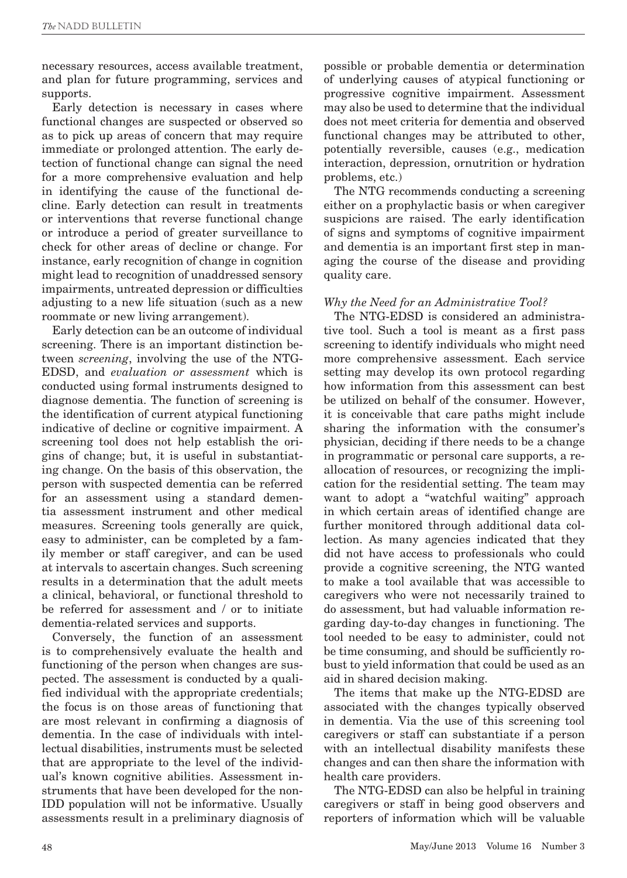necessary resources, access available treatment, and plan for future programming, services and supports.

Early detection is necessary in cases where functional changes are suspected or observed so as to pick up areas of concern that may require immediate or prolonged attention. The early detection of functional change can signal the need for a more comprehensive evaluation and help in identifying the cause of the functional decline. Early detection can result in treatments or interventions that reverse functional change or introduce a period of greater surveillance to check for other areas of decline or change. For instance, early recognition of change in cognition might lead to recognition of unaddressed sensory impairments, untreated depression or difficulties adjusting to a new life situation (such as a new roommate or new living arrangement).

Early detection can be an outcome of individual screening. There is an important distinction between *screening*, involving the use of the NTG-EDSD, and *evaluation or assessment* which is conducted using formal instruments designed to diagnose dementia. The function of screening is the identification of current atypical functioning indicative of decline or cognitive impairment. A screening tool does not help establish the origins of change; but, it is useful in substantiating change. On the basis of this observation, the person with suspected dementia can be referred for an assessment using a standard dementia assessment instrument and other medical measures. Screening tools generally are quick, easy to administer, can be completed by a family member or staff caregiver, and can be used at intervals to ascertain changes. Such screening results in a determination that the adult meets a clinical, behavioral, or functional threshold to be referred for assessment and / or to initiate dementia-related services and supports.

Conversely, the function of an assessment is to comprehensively evaluate the health and functioning of the person when changes are suspected. The assessment is conducted by a qualified individual with the appropriate credentials; the focus is on those areas of functioning that are most relevant in confirming a diagnosis of dementia. In the case of individuals with intellectual disabilities, instruments must be selected that are appropriate to the level of the individual's known cognitive abilities. Assessment instruments that have been developed for the non-IDD population will not be informative. Usually assessments result in a preliminary diagnosis of possible or probable dementia or determination of underlying causes of atypical functioning or progressive cognitive impairment. Assessment may also be used to determine that the individual does not meet criteria for dementia and observed functional changes may be attributed to other, potentially reversible, causes (e.g., medication interaction, depression, ornutrition or hydration problems, etc.)

The NTG recommends conducting a screening either on a prophylactic basis or when caregiver suspicions are raised. The early identification of signs and symptoms of cognitive impairment and dementia is an important first step in managing the course of the disease and providing quality care.

#### *Why the Need for an Administrative Tool?*

The NTG-EDSD is considered an administrative tool. Such a tool is meant as a first pass screening to identify individuals who might need more comprehensive assessment. Each service setting may develop its own protocol regarding how information from this assessment can best be utilized on behalf of the consumer. However, it is conceivable that care paths might include sharing the information with the consumer's physician, deciding if there needs to be a change in programmatic or personal care supports, a reallocation of resources, or recognizing the implication for the residential setting. The team may want to adopt a "watchful waiting" approach in which certain areas of identified change are further monitored through additional data collection. As many agencies indicated that they did not have access to professionals who could provide a cognitive screening, the NTG wanted to make a tool available that was accessible to caregivers who were not necessarily trained to do assessment, but had valuable information regarding day-to-day changes in functioning. The tool needed to be easy to administer, could not be time consuming, and should be sufficiently robust to yield information that could be used as an aid in shared decision making.

The items that make up the NTG-EDSD are associated with the changes typically observed in dementia. Via the use of this screening tool caregivers or staff can substantiate if a person with an intellectual disability manifests these changes and can then share the information with health care providers.

The NTG-EDSD can also be helpful in training caregivers or staff in being good observers and reporters of information which will be valuable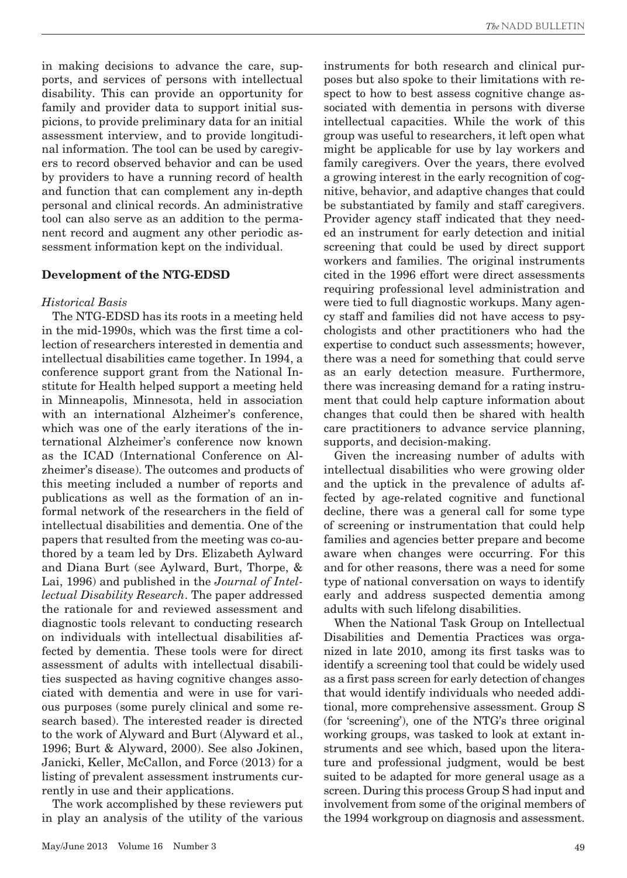in making decisions to advance the care, supports, and services of persons with intellectual disability. This can provide an opportunity for family and provider data to support initial suspicions, to provide preliminary data for an initial assessment interview, and to provide longitudinal information. The tool can be used by caregivers to record observed behavior and can be used by providers to have a running record of health and function that can complement any in-depth personal and clinical records. An administrative tool can also serve as an addition to the permanent record and augment any other periodic assessment information kept on the individual.

#### **Development of the NTG-EDSD**

#### *Historical Basis*

The NTG-EDSD has its roots in a meeting held in the mid-1990s, which was the first time a collection of researchers interested in dementia and intellectual disabilities came together. In 1994, a conference support grant from the National Institute for Health helped support a meeting held in Minneapolis, Minnesota, held in association with an international Alzheimer's conference, which was one of the early iterations of the international Alzheimer's conference now known as the ICAD (International Conference on Alzheimer's disease). The outcomes and products of this meeting included a number of reports and publications as well as the formation of an informal network of the researchers in the field of intellectual disabilities and dementia. One of the papers that resulted from the meeting was co-authored by a team led by Drs. Elizabeth Aylward and Diana Burt (see Aylward, Burt, Thorpe, & Lai, 1996) and published in the *Journal of Intellectual Disability Research*. The paper addressed the rationale for and reviewed assessment and diagnostic tools relevant to conducting research on individuals with intellectual disabilities affected by dementia. These tools were for direct assessment of adults with intellectual disabilities suspected as having cognitive changes associated with dementia and were in use for various purposes (some purely clinical and some research based). The interested reader is directed to the work of Alyward and Burt (Alyward et al., 1996; Burt & Alyward, 2000). See also Jokinen, Janicki, Keller, McCallon, and Force (2013) for a listing of prevalent assessment instruments currently in use and their applications.

The work accomplished by these reviewers put in play an analysis of the utility of the various poses but also spoke to their limitations with respect to how to best assess cognitive change associated with dementia in persons with diverse intellectual capacities. While the work of this group was useful to researchers, it left open what might be applicable for use by lay workers and family caregivers. Over the years, there evolved a growing interest in the early recognition of cognitive, behavior, and adaptive changes that could be substantiated by family and staff caregivers. Provider agency staff indicated that they needed an instrument for early detection and initial screening that could be used by direct support workers and families. The original instruments cited in the 1996 effort were direct assessments requiring professional level administration and were tied to full diagnostic workups. Many agency staff and families did not have access to psychologists and other practitioners who had the expertise to conduct such assessments; however, there was a need for something that could serve as an early detection measure. Furthermore, there was increasing demand for a rating instrument that could help capture information about changes that could then be shared with health care practitioners to advance service planning, supports, and decision-making.

instruments for both research and clinical pur-

Given the increasing number of adults with intellectual disabilities who were growing older and the uptick in the prevalence of adults affected by age-related cognitive and functional decline, there was a general call for some type of screening or instrumentation that could help families and agencies better prepare and become aware when changes were occurring. For this and for other reasons, there was a need for some type of national conversation on ways to identify early and address suspected dementia among adults with such lifelong disabilities.

When the National Task Group on Intellectual Disabilities and Dementia Practices was organized in late 2010, among its first tasks was to identify a screening tool that could be widely used as a first pass screen for early detection of changes that would identify individuals who needed additional, more comprehensive assessment. Group S (for 'screening'), one of the NTG's three original working groups, was tasked to look at extant instruments and see which, based upon the literature and professional judgment, would be best suited to be adapted for more general usage as a screen. During this process Group S had input and involvement from some of the original members of the 1994 workgroup on diagnosis and assessment.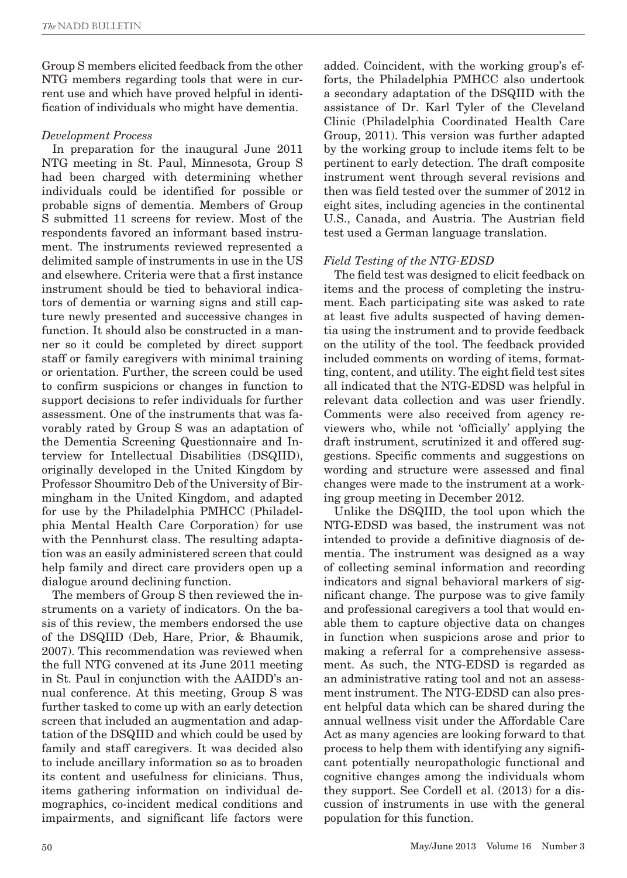Group S members elicited feedback from the other NTG members regarding tools that were in current use and which have proved helpful in identification of individuals who might have dementia.

# *Development Process*

In preparation for the inaugural June 2011 NTG meeting in St. Paul, Minnesota, Group S had been charged with determining whether individuals could be identified for possible or probable signs of dementia. Members of Group S submitted 11 screens for review. Most of the respondents favored an informant based instrument. The instruments reviewed represented a delimited sample of instruments in use in the US and elsewhere. Criteria were that a first instance instrument should be tied to behavioral indicators of dementia or warning signs and still capture newly presented and successive changes in function. It should also be constructed in a manner so it could be completed by direct support staff or family caregivers with minimal training or orientation. Further, the screen could be used to confirm suspicions or changes in function to support decisions to refer individuals for further assessment. One of the instruments that was favorably rated by Group S was an adaptation of the Dementia Screening Questionnaire and Interview for Intellectual Disabilities (DSQIID), originally developed in the United Kingdom by Professor Shoumitro Deb of the University of Birmingham in the United Kingdom, and adapted for use by the Philadelphia PMHCC (Philadelphia Mental Health Care Corporation) for use with the Pennhurst class. The resulting adaptation was an easily administered screen that could help family and direct care providers open up a dialogue around declining function.

The members of Group S then reviewed the instruments on a variety of indicators. On the basis of this review, the members endorsed the use of the DSQIID (Deb, Hare, Prior, & Bhaumik, 2007). This recommendation was reviewed when the full NTG convened at its June 2011 meeting in St. Paul in conjunction with the AAIDD's annual conference. At this meeting, Group S was further tasked to come up with an early detection screen that included an augmentation and adaptation of the DSQIID and which could be used by family and staff caregivers. It was decided also to include ancillary information so as to broaden its content and usefulness for clinicians. Thus, items gathering information on individual demographics, co-incident medical conditions and impairments, and significant life factors were added. Coincident, with the working group's efforts, the Philadelphia PMHCC also undertook a secondary adaptation of the DSQIID with the assistance of Dr. Karl Tyler of the Cleveland Clinic (Philadelphia Coordinated Health Care Group, 2011). This version was further adapted by the working group to include items felt to be pertinent to early detection. The draft composite instrument went through several revisions and then was field tested over the summer of 2012 in eight sites, including agencies in the continental U.S., Canada, and Austria. The Austrian field test used a German language translation.

# *Field Testing of the NTG-EDSD*

The field test was designed to elicit feedback on items and the process of completing the instrument. Each participating site was asked to rate at least five adults suspected of having dementia using the instrument and to provide feedback on the utility of the tool. The feedback provided included comments on wording of items, formatting, content, and utility. The eight field test sites all indicated that the NTG-EDSD was helpful in relevant data collection and was user friendly. Comments were also received from agency reviewers who, while not 'officially' applying the draft instrument, scrutinized it and offered suggestions. Specific comments and suggestions on wording and structure were assessed and final changes were made to the instrument at a working group meeting in December 2012.

Unlike the DSQIID, the tool upon which the NTG-EDSD was based, the instrument was not intended to provide a definitive diagnosis of dementia. The instrument was designed as a way of collecting seminal information and recording indicators and signal behavioral markers of significant change. The purpose was to give family and professional caregivers a tool that would enable them to capture objective data on changes in function when suspicions arose and prior to making a referral for a comprehensive assessment. As such, the NTG-EDSD is regarded as an administrative rating tool and not an assessment instrument. The NTG-EDSD can also present helpful data which can be shared during the annual wellness visit under the Affordable Care Act as many agencies are looking forward to that process to help them with identifying any significant potentially neuropathologic functional and cognitive changes among the individuals whom they support. See Cordell et al. (2013) for a discussion of instruments in use with the general population for this function.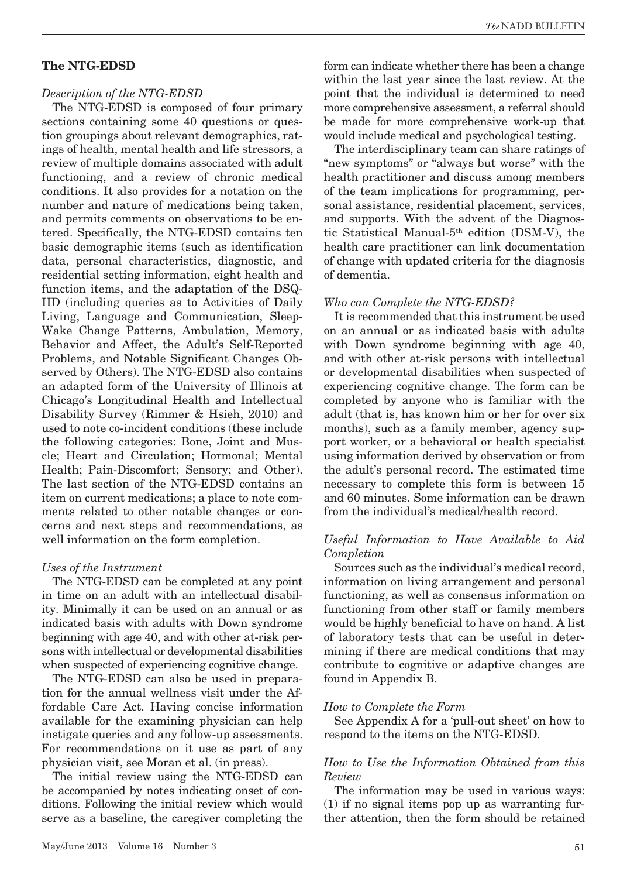### **The NTG-EDSD**

#### *Description of the NTG-EDSD*

The NTG-EDSD is composed of four primary sections containing some 40 questions or question groupings about relevant demographics, ratings of health, mental health and life stressors, a review of multiple domains associated with adult functioning, and a review of chronic medical conditions. It also provides for a notation on the number and nature of medications being taken, and permits comments on observations to be entered. Specifically, the NTG-EDSD contains ten basic demographic items (such as identification data, personal characteristics, diagnostic, and residential setting information, eight health and function items, and the adaptation of the DSQ-IID (including queries as to Activities of Daily Living, Language and Communication, Sleep-Wake Change Patterns, Ambulation, Memory, Behavior and Affect, the Adult's Self-Reported Problems, and Notable Significant Changes Observed by Others). The NTG-EDSD also contains an adapted form of the University of Illinois at Chicago's Longitudinal Health and Intellectual Disability Survey (Rimmer & Hsieh, 2010) and used to note co-incident conditions (these include the following categories: Bone, Joint and Muscle; Heart and Circulation; Hormonal; Mental Health; Pain-Discomfort; Sensory; and Other). The last section of the NTG-EDSD contains an item on current medications; a place to note comments related to other notable changes or concerns and next steps and recommendations, as well information on the form completion.

#### *Uses of the Instrument*

The NTG-EDSD can be completed at any point in time on an adult with an intellectual disability. Minimally it can be used on an annual or as indicated basis with adults with Down syndrome beginning with age 40, and with other at-risk persons with intellectual or developmental disabilities when suspected of experiencing cognitive change.

The NTG-EDSD can also be used in preparation for the annual wellness visit under the Affordable Care Act. Having concise information available for the examining physician can help instigate queries and any follow-up assessments. For recommendations on it use as part of any physician visit, see Moran et al. (in press).

The initial review using the NTG-EDSD can be accompanied by notes indicating onset of conditions. Following the initial review which would serve as a baseline, the caregiver completing the

The interdisciplinary team can share ratings of "new symptoms" or "always but worse" with the health practitioner and discuss among members of the team implications for programming, personal assistance, residential placement, services, and supports. With the advent of the Diagnostic Statistical Manual-5th edition (DSM-V), the health care practitioner can link documentation of change with updated criteria for the diagnosis of dementia.

#### *Who can Complete the NTG-EDSD?*

It is recommended that this instrument be used on an annual or as indicated basis with adults with Down syndrome beginning with age 40, and with other at-risk persons with intellectual or developmental disabilities when suspected of experiencing cognitive change. The form can be completed by anyone who is familiar with the adult (that is, has known him or her for over six months), such as a family member, agency support worker, or a behavioral or health specialist using information derived by observation or from the adult's personal record. The estimated time necessary to complete this form is between 15 and 60 minutes. Some information can be drawn from the individual's medical/health record.

#### *Useful Information to Have Available to Aid Completion*

Sources such as the individual's medical record, information on living arrangement and personal functioning, as well as consensus information on functioning from other staff or family members would be highly beneficial to have on hand. A list of laboratory tests that can be useful in determining if there are medical conditions that may contribute to cognitive or adaptive changes are found in Appendix B.

#### *How to Complete the Form*

See Appendix A for a 'pull-out sheet' on how to respond to the items on the NTG-EDSD.

#### *How to Use the Information Obtained from this Review*

The information may be used in various ways: (1) if no signal items pop up as warranting further attention, then the form should be retained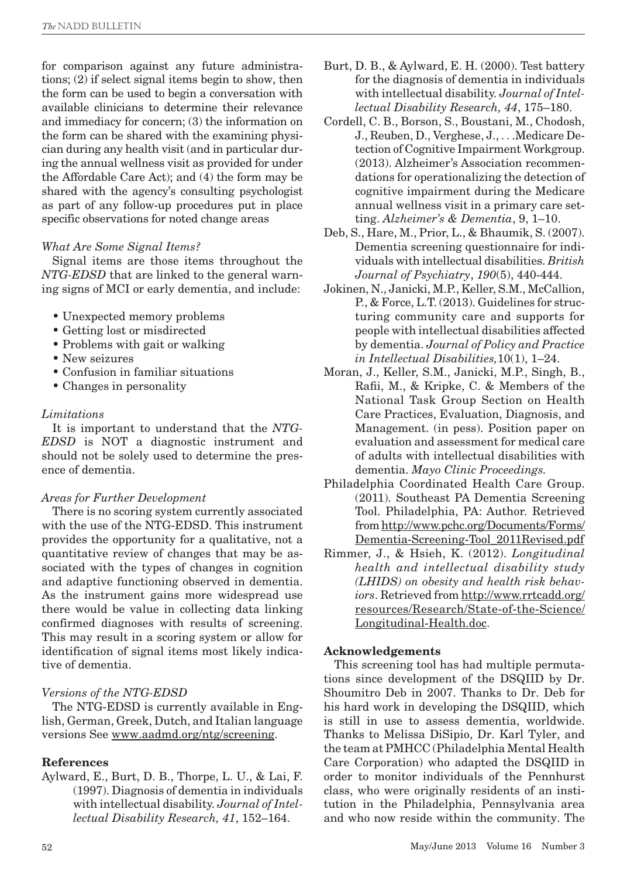for comparison against any future administrations; (2) if select signal items begin to show, then the form can be used to begin a conversation with available clinicians to determine their relevance and immediacy for concern; (3) the information on the form can be shared with the examining physician during any health visit (and in particular during the annual wellness visit as provided for under the Affordable Care Act); and (4) the form may be shared with the agency's consulting psychologist as part of any follow-up procedures put in place specific observations for noted change areas

## *What Are Some Signal Items?*

Signal items are those items throughout the *NTG-EDSD* that are linked to the general warning signs of MCI or early dementia, and include:

- Unexpected memory problems
- Getting lost or misdirected
- Problems with gait or walking
- New seizures
- Confusion in familiar situations
- Changes in personality

## *Limitations*

It is important to understand that the *NTG-EDSD* is NOT a diagnostic instrument and should not be solely used to determine the presence of dementia.

## *Areas for Further Development*

There is no scoring system currently associated with the use of the NTG-EDSD. This instrument provides the opportunity for a qualitative, not a quantitative review of changes that may be associated with the types of changes in cognition and adaptive functioning observed in dementia. As the instrument gains more widespread use there would be value in collecting data linking confirmed diagnoses with results of screening. This may result in a scoring system or allow for identification of signal items most likely indicative of dementia.

## *Versions of the NTG-EDSD*

The NTG-EDSD is currently available in English, German, Greek, Dutch, and Italian language versions See www.aadmd.org/ntg/screening.

## **References**

Aylward, E., Burt, D. B., Thorpe, L. U., & Lai, F. (1997). Diagnosis of dementia in individuals with intellectual disability. *Journal of Intellectual Disability Research, 41*, 152–164.

- Burt, D. B., & Aylward, E. H. (2000). Test battery for the diagnosis of dementia in individuals with intellectual disability. *Journal of Intellectual Disability Research, 44*, 175–180.
- Cordell, C. B., Borson, S., Boustani, M., Chodosh, J., Reuben, D., Verghese, J., . . .Medicare Detection of Cognitive Impairment Workgroup. (2013). Alzheimer's Association recommendations for operationalizing the detection of cognitive impairment during the Medicare annual wellness visit in a primary care setting. *Alzheimer's & Dementia*, 9, 1–10.
- Deb, S., Hare, M., Prior, L., & Bhaumik, S. (2007). Dementia screening questionnaire for individuals with intellectual disabilities. *British Journal of Psychiatry*, *190*(5), 440-444.
- Jokinen, N., Janicki, M.P., Keller, S.M., McCallion, P., & Force, L.T. (2013). Guidelines for structuring community care and supports for people with intellectual disabilities affected by dementia. *Journal of Policy and Practice in Intellectual Disabilities,*10(1), 1–24.
- Moran, J., Keller, S.M., Janicki, M.P., Singh, B., Rafii, M., & Kripke, C. & Members of the National Task Group Section on Health Care Practices, Evaluation, Diagnosis, and Management. (in pess). Position paper on evaluation and assessment for medical care of adults with intellectual disabilities with dementia. *Mayo Clinic Proceedings.*
- Philadelphia Coordinated Health Care Group. (2011). Southeast PA Dementia Screening Tool. Philadelphia, PA: Author. Retrieved from http://www.pchc.org/Documents/Forms/ Dementia-Screening-Tool\_2011Revised.pdf
- Rimmer, J., & Hsieh, K. (2012). *Longitudinal health and intellectual disability study (LHIDS) on obesity and health risk behaviors*. Retrieved from http://www.rrtcadd.org/ resources/Research/State-of-the-Science/ Longitudinal-Health.doc.

## **Acknowledgements**

This screening tool has had multiple permutations since development of the DSQIID by Dr. Shoumitro Deb in 2007. Thanks to Dr. Deb for his hard work in developing the DSQIID, which is still in use to assess dementia, worldwide. Thanks to Melissa DiSipio, Dr. Karl Tyler, and the team at PMHCC (Philadelphia Mental Health Care Corporation) who adapted the DSQIID in order to monitor individuals of the Pennhurst class, who were originally residents of an institution in the Philadelphia, Pennsylvania area and who now reside within the community. The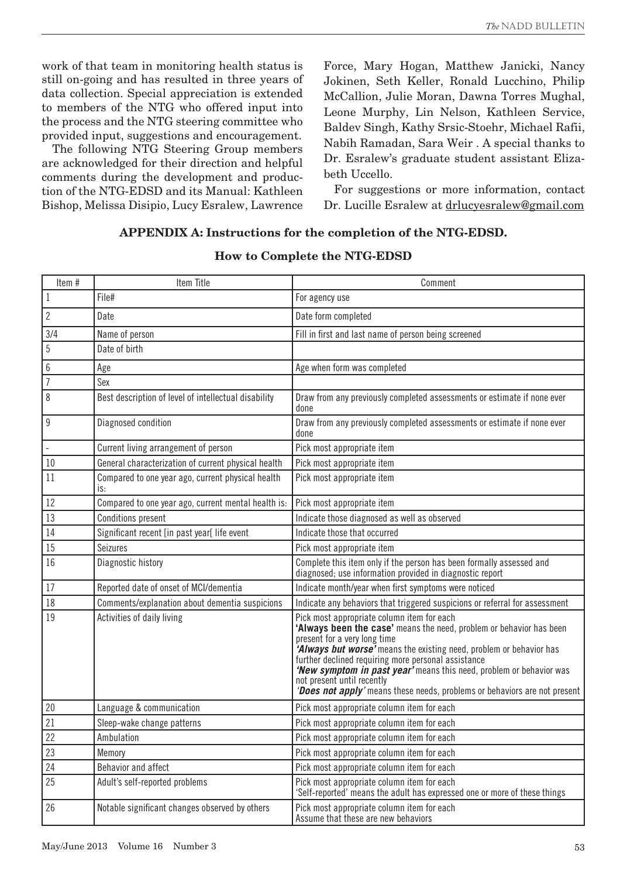work of that team in monitoring health status is still on-going and has resulted in three years of data collection. Special appreciation is extended to members of the NTG who offered input into the process and the NTG steering committee who provided input, suggestions and encouragement.

The following NTG Steering Group members are acknowledged for their direction and helpful comments during the development and production of the NTG-EDSD and its Manual: Kathleen Bishop, Melissa Disipio, Lucy Esralew, Lawrence Force, Mary Hogan, Matthew Janicki, Nancy Jokinen, Seth Keller, Ronald Lucchino, Philip McCallion, Julie Moran, Dawna Torres Mughal, Leone Murphy, Lin Nelson, Kathleen Service, Baldev Singh, Kathy Srsic-Stoehr, Michael Rafii, Nabih Ramadan, Sara Weir . A special thanks to Dr. Esralew's graduate student assistant Elizabeth Uccello.

For suggestions or more information, contact Dr. Lucille Esralew at drlucyesralew@gmail.com

## **APPENDIX A: Instructions for the completion of the NTG-EDSD.**

| Item#          | Item Title                                               | Comment                                                                                                                                                                                                                                                                                                                                                                                                                                                           |
|----------------|----------------------------------------------------------|-------------------------------------------------------------------------------------------------------------------------------------------------------------------------------------------------------------------------------------------------------------------------------------------------------------------------------------------------------------------------------------------------------------------------------------------------------------------|
| $\mathbf{1}$   | File#                                                    | For agency use                                                                                                                                                                                                                                                                                                                                                                                                                                                    |
| $\overline{2}$ | Date                                                     | Date form completed                                                                                                                                                                                                                                                                                                                                                                                                                                               |
| 3/4            | Name of person                                           | Fill in first and last name of person being screened                                                                                                                                                                                                                                                                                                                                                                                                              |
| 5              | Date of birth                                            |                                                                                                                                                                                                                                                                                                                                                                                                                                                                   |
| $6\,$          | Age                                                      | Age when form was completed                                                                                                                                                                                                                                                                                                                                                                                                                                       |
| $\overline{1}$ | Sex                                                      |                                                                                                                                                                                                                                                                                                                                                                                                                                                                   |
| 8              | Best description of level of intellectual disability     | Draw from any previously completed assessments or estimate if none ever<br>done                                                                                                                                                                                                                                                                                                                                                                                   |
| 9              | Diagnosed condition                                      | Draw from any previously completed assessments or estimate if none ever<br>done                                                                                                                                                                                                                                                                                                                                                                                   |
|                | Current living arrangement of person                     | Pick most appropriate item                                                                                                                                                                                                                                                                                                                                                                                                                                        |
| 10             | General characterization of current physical health      | Pick most appropriate item                                                                                                                                                                                                                                                                                                                                                                                                                                        |
| 11             | Compared to one year ago, current physical health<br>is: | Pick most appropriate item                                                                                                                                                                                                                                                                                                                                                                                                                                        |
| 12             | Compared to one year ago, current mental health is:      | Pick most appropriate item                                                                                                                                                                                                                                                                                                                                                                                                                                        |
| 13             | <b>Conditions present</b>                                | Indicate those diagnosed as well as observed                                                                                                                                                                                                                                                                                                                                                                                                                      |
| 14             | Significant recent [in past year[ life event             | Indicate those that occurred                                                                                                                                                                                                                                                                                                                                                                                                                                      |
| 15             | Seizures                                                 | Pick most appropriate item                                                                                                                                                                                                                                                                                                                                                                                                                                        |
| 16             | Diagnostic history                                       | Complete this item only if the person has been formally assessed and<br>diagnosed; use information provided in diagnostic report                                                                                                                                                                                                                                                                                                                                  |
| 17             | Reported date of onset of MCI/dementia                   | Indicate month/year when first symptoms were noticed                                                                                                                                                                                                                                                                                                                                                                                                              |
| 18             | Comments/explanation about dementia suspicions           | Indicate any behaviors that triggered suspicions or referral for assessment                                                                                                                                                                                                                                                                                                                                                                                       |
| 19             | Activities of daily living                               | Pick most appropriate column item for each<br>'Always been the case' means the need, problem or behavior has been<br>present for a very long time<br>'Always but worse' means the existing need, problem or behavior has<br>further declined requiring more personal assistance<br>'New symptom in past year' means this need, problem or behavior was<br>not present until recently<br>'Does not apply' means these needs, problems or behaviors are not present |
| 20             | Language & communication                                 | Pick most appropriate column item for each                                                                                                                                                                                                                                                                                                                                                                                                                        |
| 21             | Sleep-wake change patterns                               | Pick most appropriate column item for each                                                                                                                                                                                                                                                                                                                                                                                                                        |
| 22             | Ambulation                                               | Pick most appropriate column item for each                                                                                                                                                                                                                                                                                                                                                                                                                        |
| 23             | Memory                                                   | Pick most appropriate column item for each                                                                                                                                                                                                                                                                                                                                                                                                                        |
| 24             | Behavior and affect                                      | Pick most appropriate column item for each                                                                                                                                                                                                                                                                                                                                                                                                                        |
| 25             | Adult's self-reported problems                           | Pick most appropriate column item for each<br>'Self-reported' means the adult has expressed one or more of these things                                                                                                                                                                                                                                                                                                                                           |
| 26             | Notable significant changes observed by others           | Pick most appropriate column item for each<br>Assume that these are new behaviors                                                                                                                                                                                                                                                                                                                                                                                 |

## **How to Complete the NTG-EDSD**